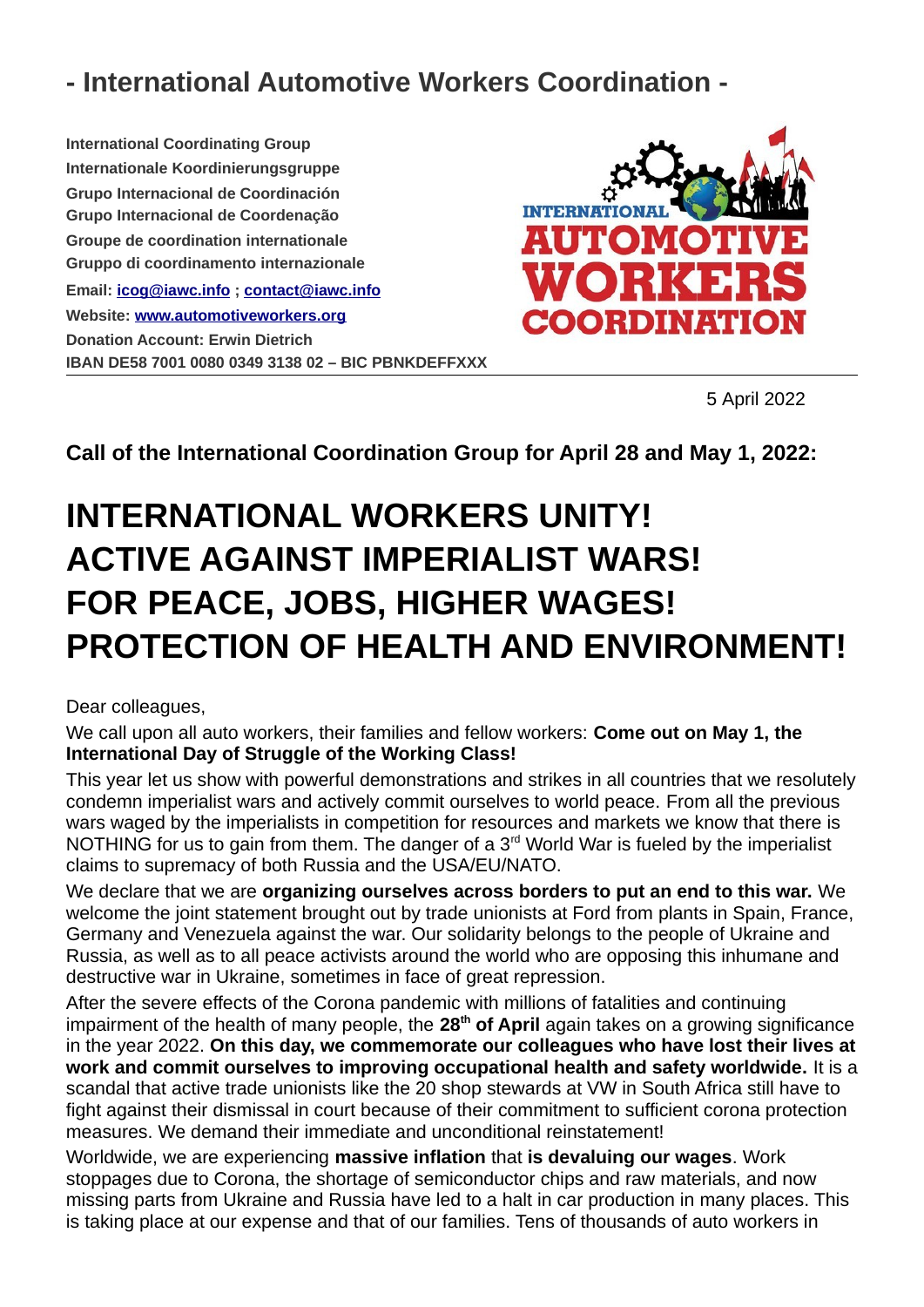## **- International Automotive Workers Coordination -**

**International Coordinating Group Internationale Koordinierungsgruppe Grupo Internacional de Coordinación Grupo Internacional de Coordenação Groupe de coordination internationale Gruppo di coordinamento internazionale Email: [icog@ia](mailto:icog@iawc.info) w [c.info](mailto:icog@iawc.info) ; [contact@iawc.info](mailto:contact@iawc.info) Website: [www.automotiveworkers.org](http://www.automotiveworkers.org/) Donation Account: Erwin Dietrich IBAN DE58 7001 0080 0349 3138 02 – BIC PBNKDEFFXXX**



5 April 2022

**Call of the International Coordination Group for April 28 and May 1, 2022:**

## **INTERNATIONAL WORKERS UNITY! ACTIVE AGAINST IMPERIALIST WARS! FOR PEACE, JOBS, HIGHER WAGES! PROTECTION OF HEALTH AND ENVIRONMENT!**

Dear colleagues,

We call upon all auto workers, their families and fellow workers: **Come out on May 1, the International Day of Struggle of the Working Class!** 

This year let us show with powerful demonstrations and strikes in all countries that we resolutely condemn imperialist wars and actively commit ourselves to world peace. From all the previous wars waged by the imperialists in competition for resources and markets we know that there is NOTHING for us to gain from them. The danger of a  $3<sup>rd</sup>$  World War is fueled by the imperialist claims to supremacy of both Russia and the USA/EU/NATO.

We declare that we are **organizing ourselves across borders to put an end to this war.** We welcome the joint statement brought out by trade unionists at Ford from plants in Spain, France, Germany and Venezuela against the war. Our solidarity belongs to the people of Ukraine and Russia, as well as to all peace activists around the world who are opposing this inhumane and destructive war in Ukraine, sometimes in face of great repression.

After the severe effects of the Corona pandemic with millions of fatalities and continuing impairment of the health of many people, the **28th of April** again takes on a growing significance in the year 2022. **On this day, we commemorate our colleagues who have lost their lives at work and commit ourselves to improving occupational health and safety worldwide.** It is a scandal that active trade unionists like the 20 shop stewards at VW in South Africa still have to fight against their dismissal in court because of their commitment to sufficient corona protection measures. We demand their immediate and unconditional reinstatement!

Worldwide, we are experiencing **massive inflation** that **is devaluing our wages**. Work stoppages due to Corona, the shortage of semiconductor chips and raw materials, and now missing parts from Ukraine and Russia have led to a halt in car production in many places. This is taking place at our expense and that of our families. Tens of thousands of auto workers in